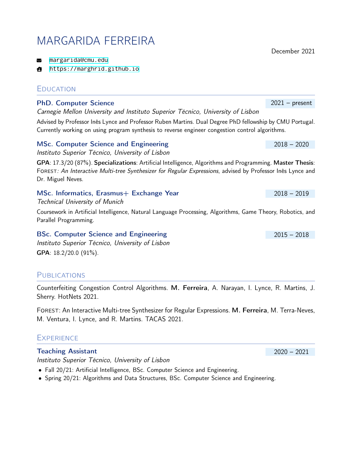# MARGARIDA FERREIRA

<margarida@cmu.edu>

<https://marghrid.github.io>  $\mathbf{A}$ 

# **EDUCATION**

## PhD. Computer Science 2021 – present

*Carnegie Mellon University and Instituto Superior Técnico, University of Lisbon*

Advised by Professor Inês Lynce and Professor Ruben Martins. Dual Degree PhD fellowship by CMU Portugal. Currently working on using program synthesis to reverse engineer congestion control algorithms.

#### MSc. Computer Science and Engineering 2018 – 2020

*Instituto Superior Técnico, University of Lisbon*

GPA: 17.3/20 (87%). Specializations: Artificial Intelligence, Algorithms and Programming. Master Thesis: Forest*: An Interactive Multi-tree Synthesizer for Regular Expressions*, advised by Professor Inês Lynce and Dr. Miguel Neves.

#### MSc. Informatics, Erasmus+ Exchange Year 2018 – 2018 – 2019

*Technical University of Munich*

Coursework in Artificial Intelligence, Natural Language Processing, Algorithms, Game Theory, Robotics, and Parallel Programming.

BSc. Computer Science and Engineering 2015 – 2018 2015 – 2018 *Instituto Superior Técnico, University of Lisbon*

GPA: 18.2/20.0 (91%).

# **PUBLICATIONS**

Counterfeiting Congestion Control Algorithms. M. Ferreira, A. Narayan, I. Lynce, R. Martins, J. Sherry. HotNets 2021.

Forest: An Interactive Multi-tree Synthesizer for Regular Expressions. M. Ferreira, M. Terra-Neves, M. Ventura, I. Lynce, and R. Martins. TACAS 2021.

# **EXPERIENCE**

#### Teaching Assistant 2020 – 2021

*Instituto Superior Técnico, University of Lisbon*

- Fall 20/21: Artificial Intelligence, BSc. Computer Science and Engineering.
- Spring 20/21: Algorithms and Data Structures, BSc. Computer Science and Engineering.

December 2021